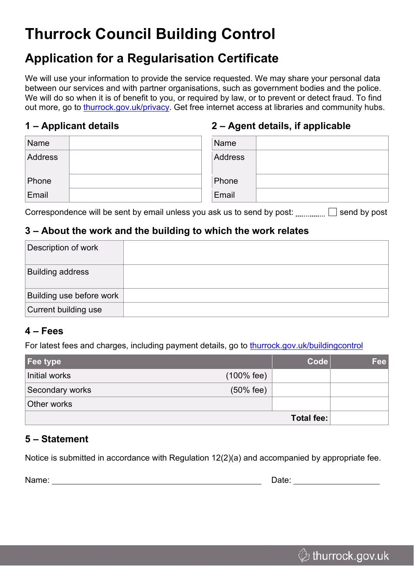# **Thurrock Council Building Control**

### **Application for a Regularisation Certificate**

We will use your information to provide the service requested. We may share your personal data between our services and with partner organisations, such as government bodies and the police. We will do so when it is of benefit to you, or required by law, or to prevent or detect fraud. To find out more, go to [thurrock.gov.uk/privacy.](https://www.thurrock.gov.uk/privacy) Get free internet access at libraries and community hubs.

#### **1 – Applicant details**

#### **2 – Agent details, if applicable**

| Name    | Name           |
|---------|----------------|
| Address | <b>Address</b> |
| Phone   | Phone          |
| Email   | Email          |

Correspondence will be sent by email unless you ask us to send by post:  $\Box$  send by post

#### **3 – About the work and the building to which the work relates**

| Description of work      |  |
|--------------------------|--|
| <b>Building address</b>  |  |
| Building use before work |  |
| Current building use     |  |

#### **4 – Fees**

For latest fees and charges, including payment details, go to [thurrock.gov.uk/buildingcontrol](https://www.thurrock.gov.uk/buildingcontrol)

| Fee type          |              | <b>Code</b> | <b>Fee</b> |
|-------------------|--------------|-------------|------------|
| Initial works     | $(100%$ fee) |             |            |
| Secondary works   | $(50%$ fee)  |             |            |
| Other works       |              |             |            |
| <b>Total fee:</b> |              |             |            |

#### **5 – Statement**

Notice is submitted in accordance with Regulation 12(2)(a) and accompanied by appropriate fee.

Name: Name: 2008 and 2008 and 2008 and 2008 and 2008 and 2008 and 2008 and 2008 and 2008 and 2008 and 2008 and 2008 and 2008 and 2008 and 2008 and 2008 and 2008 and 2008 and 2008 and 2008 and 2008 and 2008 and 2008 and 200